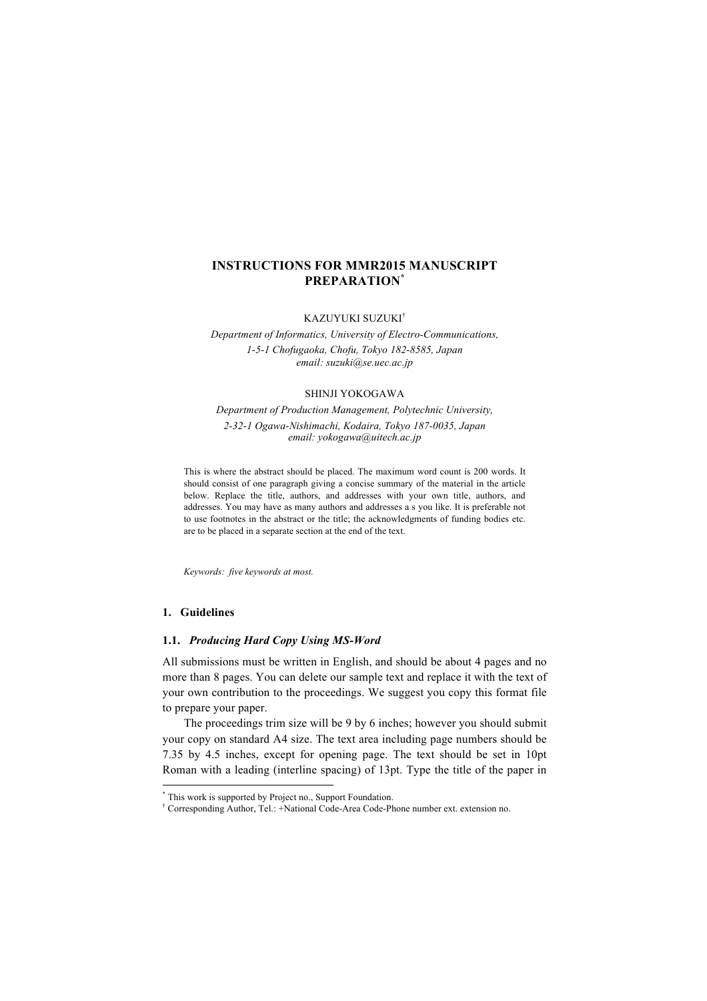# **INSTRUCTIONS FOR MMR2015 MANUSCRIPT PREPARATION\***

KAZUYUKI SUZUKI†

*Department of Informatics, University of Electro-Communications, 1-5-1 Chofugaoka, Chofu, Tokyo 182-8585, Japan email: suzuki@se.uec.ac.jp*

#### SHINJI YOKOGAWA

*Department of Production Management, Polytechnic University, 2-32-1 Ogawa-Nishimachi, Kodaira, Tokyo 187-0035, Japan email: yokogawa@uitech.ac.jp*

This is where the abstract should be placed. The maximum word count is 200 words. It should consist of one paragraph giving a concise summary of the material in the article below. Replace the title, authors, and addresses with your own title, authors, and addresses. You may have as many authors and addresses a s you like. It is preferable not to use footnotes in the abstract or the title; the acknowledgments of funding bodies etc. are to be placed in a separate section at the end of the text.

*Keywords: five keywords at most.*

### **1. Guidelines**

#### **1.1.** *Producing Hard Copy Using MS-Word*

All submissions must be written in English, and should be about 4 pages and no more than 8 pages. You can delete our sample text and replace it with the text of your own contribution to the proceedings. We suggest you copy this format file to prepare your paper.

The proceedings trim size will be 9 by 6 inches; however you should submit your copy on standard A4 size. The text area including page numbers should be 7.35 by 4.5 inches, except for opening page. The text should be set in 10pt Roman with a leading (interline spacing) of 13pt. Type the title of the paper in

 <sup>\*</sup> This work is supported by Project no., Support Foundation.

<sup>†</sup> Corresponding Author, Tel.: +National Code-Area Code-Phone number ext. extension no.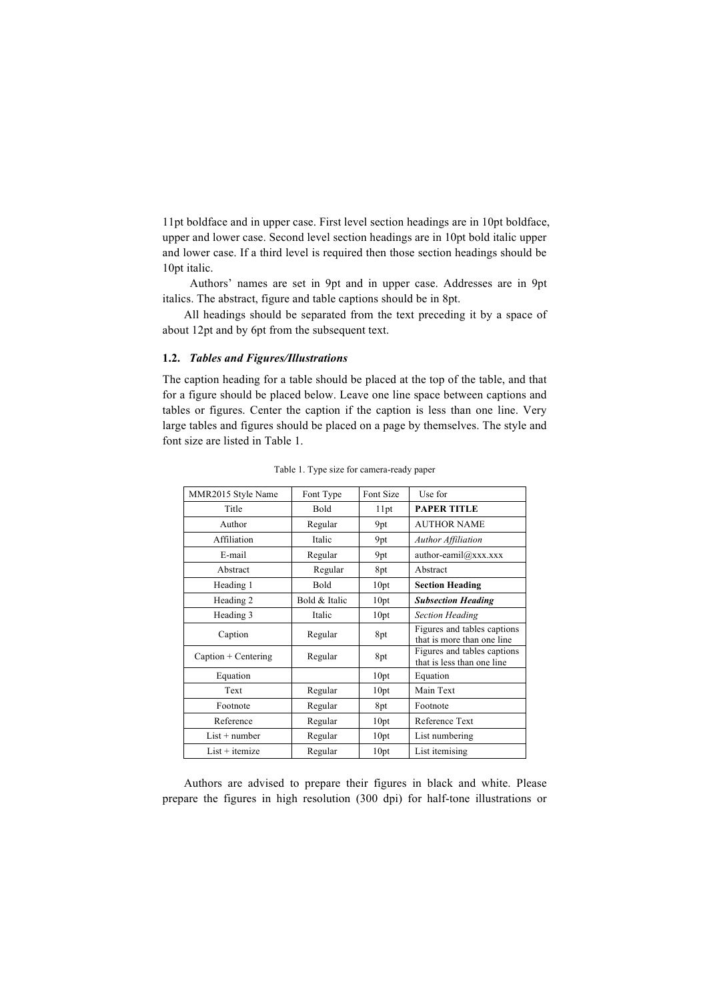11pt boldface and in upper case. First level section headings are in 10pt boldface, upper and lower case. Second level section headings are in 10pt bold italic upper and lower case. If a third level is required then those section headings should be 10pt italic.

Authors' names are set in 9pt and in upper case. Addresses are in 9pt italics. The abstract, figure and table captions should be in 8pt.

All headings should be separated from the text preceding it by a space of about 12pt and by 6pt from the subsequent text.

# **1.2.** *Tables and Figures/Illustrations*

The caption heading for a table should be placed at the top of the table, and that for a figure should be placed below. Leave one line space between captions and tables or figures. Center the caption if the caption is less than one line. Very large tables and figures should be placed on a page by themselves. The style and font size are listed in Table 1.

| MMR2015 Style Name    | Font Type     | Font Size | Use for                                                   |
|-----------------------|---------------|-----------|-----------------------------------------------------------|
| Title                 | Bold          | 11pt      | <b>PAPER TITLE</b>                                        |
| Author                | Regular       | 9pt       | <b>AUTHOR NAME</b>                                        |
| Affiliation           | Italic        | 9pt       | <b>Author Affiliation</b>                                 |
| E-mail                | Regular       | 9pt       | author-eamil@xxx.xxx                                      |
| Abstract              | Regular       | 8pt       | Abstract                                                  |
| Heading 1             | Bold          | 10pt      | <b>Section Heading</b>                                    |
| Heading 2             | Bold & Italic | 10pt      | <b>Subsection Heading</b>                                 |
| Heading 3             | Italic        | 10pt      | <b>Section Heading</b>                                    |
| Caption               | Regular       | 8pt       | Figures and tables captions<br>that is more than one line |
| $Caption + Centering$ | Regular       | 8pt       | Figures and tables captions<br>that is less than one line |
| Equation              |               | 10pt      | Equation                                                  |
| Text                  | Regular       | 10pt      | Main Text                                                 |
| Footnote              | Regular       | 8pt       | Footnote                                                  |
| Reference             | Regular       | 10pt      | Reference Text                                            |
| $List + number$       | Regular       | 10pt      | List numbering                                            |
| $List + itemize$      | Regular       | 10pt      | List itemising                                            |

Table 1. Type size for camera-ready paper

Authors are advised to prepare their figures in black and white. Please prepare the figures in high resolution (300 dpi) for half-tone illustrations or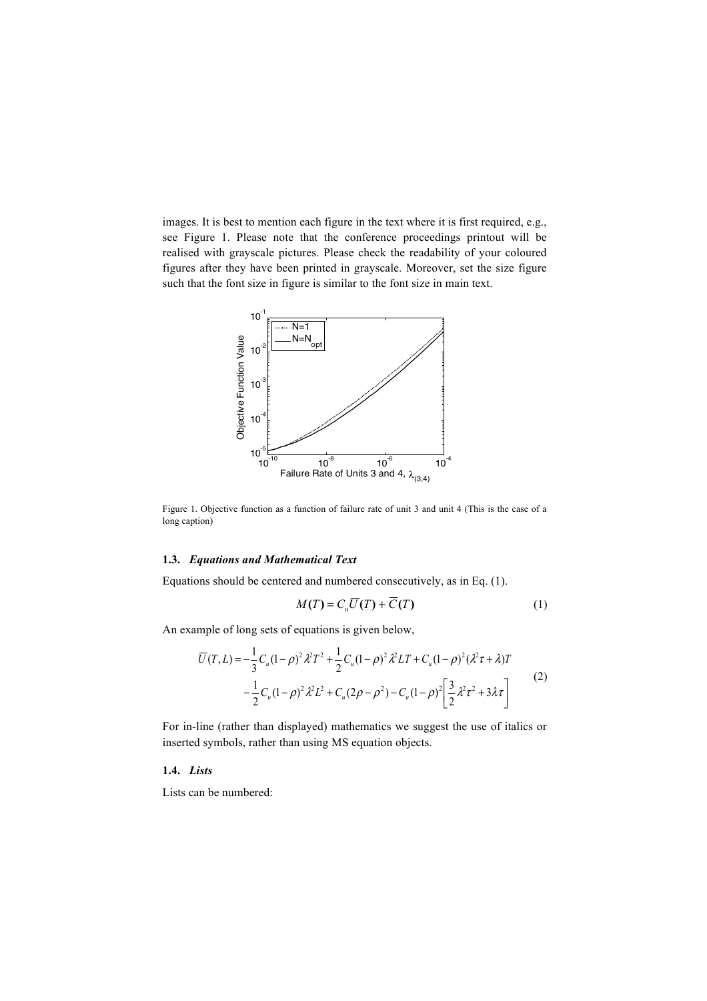images. It is best to mention each figure in the text where it is first required, e.g., see Figure 1. Please note that the conference proceedings printout will be realised with grayscale pictures. Please check the readability of your coloured figures after they have been printed in grayscale. Moreover, set the size figure such that the font size in figure is similar to the font size in main text.



Figure 1. Objective function as a function of failure rate of unit 3 and unit 4 (This is the case of a long caption)

# **1.3.** *Equations and Mathematical Text*

Equations should be centered and numbered consecutively, as in Eq. (1).

$$
M(T) = C_u \overline{U}(T) + \overline{C}(T)
$$
 (1)

An example of long sets of equations is given below,

$$
\overline{U}(T,L) = -\frac{1}{3}C_u(1-\rho)^2 \lambda^2 T^2 + \frac{1}{2}C_u(1-\rho)^2 \lambda^2 LT + C_u(1-\rho)^2 (\lambda^2 \tau + \lambda)T
$$
  

$$
-\frac{1}{2}C_u(1-\rho)^2 \lambda^2 L^2 + C_u(2\rho - \rho^2) - C_u(1-\rho)^2 \left[\frac{3}{2}\lambda^2 \tau^2 + 3\lambda \tau\right]
$$
(2)

For in-line (rather than displayed) mathematics we suggest the use of italics or inserted symbols, rather than using MS equation objects.

#### **1.4.** *Lists*

Lists can be numbered: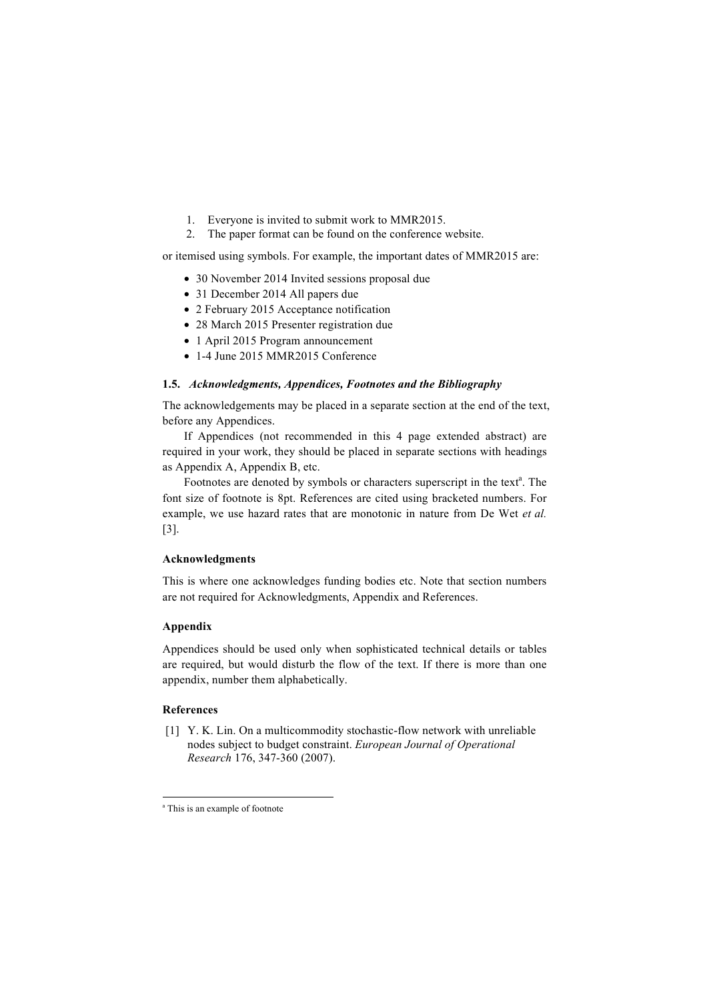- 1. Everyone is invited to submit work to MMR2015.
- 2. The paper format can be found on the conference website.

or itemised using symbols. For example, the important dates of MMR2015 are:

- 30 November 2014 Invited sessions proposal due
- 31 December 2014 All papers due
- 2 February 2015 Acceptance notification
- 28 March 2015 Presenter registration due
- 1 April 2015 Program announcement
- 1-4 June 2015 MMR2015 Conference

# **1.5.** *Acknowledgments, Appendices, Footnotes and the Bibliography*

The acknowledgements may be placed in a separate section at the end of the text, before any Appendices.

If Appendices (not recommended in this 4 page extended abstract) are required in your work, they should be placed in separate sections with headings as Appendix A, Appendix B, etc.

Footnotes are denoted by symbols or characters superscript in the text<sup>a</sup>. The font size of footnote is 8pt. References are cited using bracketed numbers. For example, we use hazard rates that are monotonic in nature from De Wet *et al.* [3].

### **Acknowledgments**

This is where one acknowledges funding bodies etc. Note that section numbers are not required for Acknowledgments, Appendix and References.

# **Appendix**

Appendices should be used only when sophisticated technical details or tables are required, but would disturb the flow of the text. If there is more than one appendix, number them alphabetically.

### **References**

[1] Y. K. Lin. On a multicommodity stochastic-flow network with unreliable nodes subject to budget constraint. *European Journal of Operational Research* 176, 347-360 (2007).

<sup>&</sup>lt;sup>a</sup> This is an example of footnote